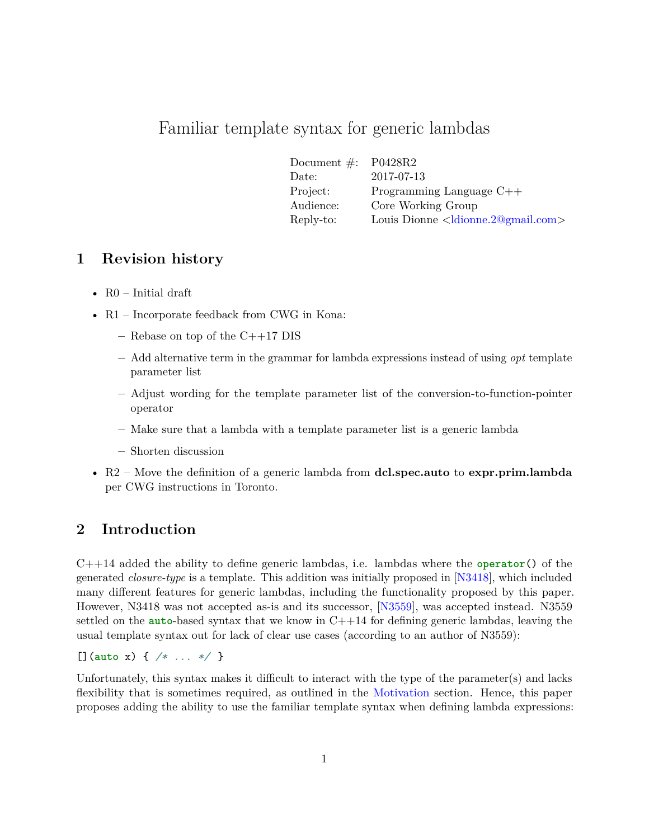# Familiar template syntax for generic lambdas

| Document $\#$ : P0428R2 |                                                          |
|-------------------------|----------------------------------------------------------|
| Date:                   | 2017-07-13                                               |
| Project:                | Programming Language $C++$                               |
| Audience:               | Core Working Group                                       |
| Reply-to:               | Louis Dionne <ldionne.2@gmail.com></ldionne.2@gmail.com> |

### **1 Revision history**

- R0 Initial draft
- R1 Incorporate feedback from CWG in Kona:
	- **–** Rebase on top of the C++17 DIS
	- **–** Add alternative term in the grammar for lambda expressions instead of using *opt* template parameter list
	- **–** Adjust wording for the template parameter list of the conversion-to-function-pointer operator
	- **–** Make sure that a lambda with a template parameter list is a generic lambda
	- **–** Shorten discussion
- R2 Move the definition of a generic lambda from **dcl.spec.auto** to **expr.prim.lambda** per CWG instructions in Toronto.

## **2 Introduction**

C++14 added the ability to define generic lambdas, i.e. lambdas where the **operator**() of the generated *closure-type* is a template. This addition was initially proposed in [\[N3418\]](#page-5-0), which included many different features for generic lambdas, including the functionality proposed by this paper. However, N3418 was not accepted as-is and its successor, [\[N3559\]](#page-5-1), was accepted instead. N3559 settled on the **auto**-based syntax that we know in C++14 for defining generic lambdas, leaving the usual template syntax out for lack of clear use cases (according to an author of N3559):

[](**auto** x) { */\* ... \*/* }

Unfortunately, this syntax makes it difficult to interact with the type of the parameter(s) and lacks flexibility that is sometimes required, as outlined in the [Motivation](#page-1-0) section. Hence, this paper proposes adding the ability to use the familiar template syntax when defining lambda expressions: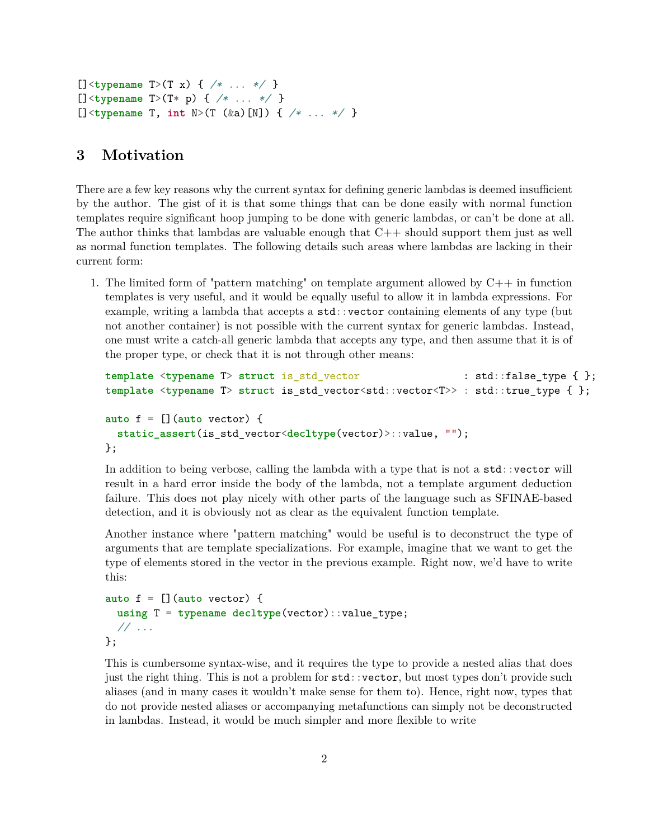```
[]<typename T>(T x) { /* ... */ }
[]<typename T>(T* p) { /* ... */ }
[]<typename T, int N>(T (&a)[N]) { /* ... */ }
```
#### <span id="page-1-0"></span>**3 Motivation**

There are a few key reasons why the current syntax for defining generic lambdas is deemed insufficient by the author. The gist of it is that some things that can be done easily with normal function templates require significant hoop jumping to be done with generic lambdas, or can't be done at all. The author thinks that lambdas are valuable enough that  $C_{++}$  should support them just as well as normal function templates. The following details such areas where lambdas are lacking in their current form:

1. The limited form of "pattern matching" on template argument allowed by C++ in function templates is very useful, and it would be equally useful to allow it in lambda expressions. For example, writing a lambda that accepts a std::vector containing elements of any type (but not another container) is not possible with the current syntax for generic lambdas. Instead, one must write a catch-all generic lambda that accepts any type, and then assume that it is of the proper type, or check that it is not through other means:

```
template <typename T> struct is_std_vector : std::false_type { };
template <typename T> struct is_std_vector<std::vector<T>> : std::true_type { };
auto f = [](auto vector) {
 static assert(is std vector<decltype(vector)>::value, "");
};
```
In addition to being verbose, calling the lambda with a type that is not a  $\text{std}$ : vector will result in a hard error inside the body of the lambda, not a template argument deduction failure. This does not play nicely with other parts of the language such as SFINAE-based detection, and it is obviously not as clear as the equivalent function template.

Another instance where "pattern matching" would be useful is to deconstruct the type of arguments that are template specializations. For example, imagine that we want to get the type of elements stored in the vector in the previous example. Right now, we'd have to write this:

```
auto f = [](auto vector) {
  using T = typename decltype(vector)::value_type;
  // ...
};
```
This is cumbersome syntax-wise, and it requires the type to provide a nested alias that does just the right thing. This is not a problem for std::vector, but most types don't provide such aliases (and in many cases it wouldn't make sense for them to). Hence, right now, types that do not provide nested aliases or accompanying metafunctions can simply not be deconstructed in lambdas. Instead, it would be much simpler and more flexible to write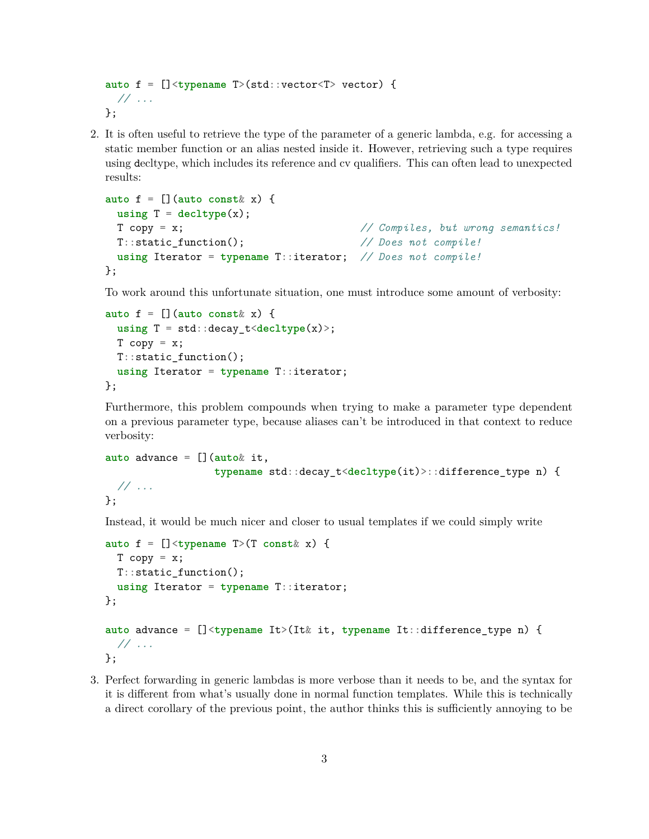```
auto f = []<typename T>(std::vector<T> vector) {
 // ...
};
```
2. It is often useful to retrieve the type of the parameter of a generic lambda, e.g. for accessing a static member function or an alias nested inside it. However, retrieving such a type requires using decltype, which includes its reference and cv qualifiers. This can often lead to unexpected results:

```
auto f = [] (auto const x) {
 using T = deck(ype(x);T copy = x; // Compiles, but wrong semantics!
 T::static_function(); // Does not compile!
 using Iterator = typename T::iterator; // Does not compile!
};
```
To work around this unfortunate situation, one must introduce some amount of verbosity:

```
auto f = [](auto const& x) {
  using T = std::decay_t<decltype(x)>;
  T copy = x;
  T:: static function();
  using Iterator = typename T::iterator;
};
```
Furthermore, this problem compounds when trying to make a parameter type dependent on a previous parameter type, because aliases can't be introduced in that context to reduce verbosity:

```
auto advance = [](auto& it,
                  typename std::decay_t<decltype(it)>::difference_type n) {
 // ...
};
```
Instead, it would be much nicer and closer to usual templates if we could simply write

```
auto f = []<typename T>(T const& x) {
  T copy = x;
  T:: static function();
  using Iterator = typename T::iterator;
};
auto advance = []<typename It>(It& it, typename It::difference_type n) {
  // ...
};
```
3. Perfect forwarding in generic lambdas is more verbose than it needs to be, and the syntax for it is different from what's usually done in normal function templates. While this is technically a direct corollary of the previous point, the author thinks this is sufficiently annoying to be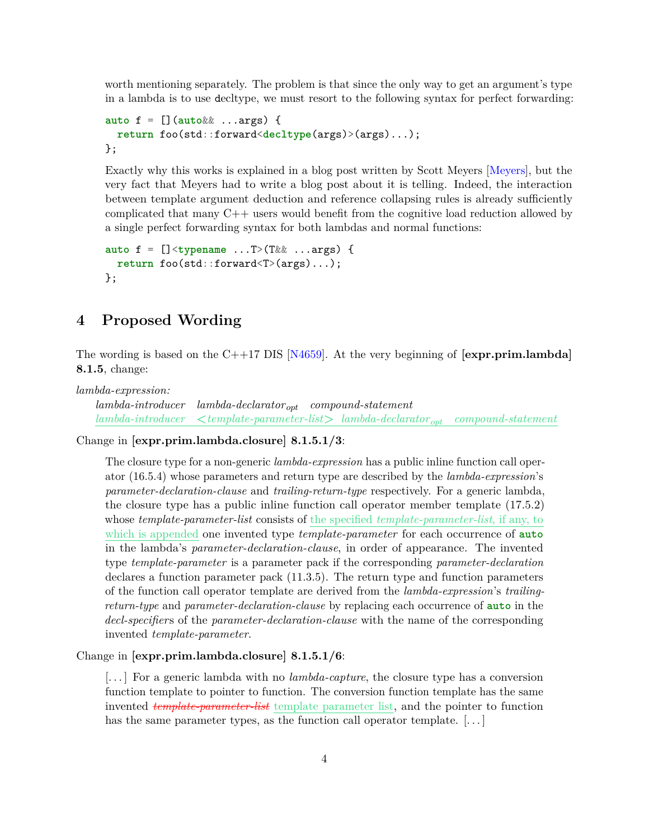worth mentioning separately. The problem is that since the only way to get an argument's type in a lambda is to use decltype, we must resort to the following syntax for perfect forwarding:

```
auto f = [](auto&& ...args) {
  return foo(std::forward<decltype(args)>(args)...);
};
```
Exactly why this works is explained in a blog post written by Scott Meyers [\[Meyers\]](#page-5-2), but the very fact that Meyers had to write a blog post about it is telling. Indeed, the interaction between template argument deduction and reference collapsing rules is already sufficiently complicated that many C++ users would benefit from the cognitive load reduction allowed by a single perfect forwarding syntax for both lambdas and normal functions:

```
auto f = []<typename ...T>(T&& ...args) {
  return foo(std::forward<T>(args)...);
};
```
### **4 Proposed Wording**

The wording is based on the C++17 DIS [\[N4659\]](#page-5-3). At the very beginning of **[expr.prim.lambda] 8.1.5**, change:

*lambda-expression:*

*lambda-introducer lambda-declarator opt compound-statement lambda-introducer* **<***template-parameter-list***>** *lambda-declarator opt compound-statement*

Change in **[expr.prim.lambda.closure] 8.1.5.1/3**:

The closure type for a non-generic *lambda-expression* has a public inline function call operator (16.5.4) whose parameters and return type are described by the *lambda-expression*'s *parameter-declaration-clause* and *trailing-return-type* respectively. For a generic lambda, the closure type has a public inline function call operator member template (17.5.2) whose *template-parameter-list* consists of the specified *template-parameter-list*, if any, to which is appended one invented type *template-parameter* for each occurrence of **auto** in the lambda's *parameter-declaration-clause*, in order of appearance. The invented type *template-parameter* is a parameter pack if the corresponding *parameter-declaration* declares a function parameter pack (11.3.5). The return type and function parameters of the function call operator template are derived from the *lambda-expression*'s *trailingreturn-type* and *parameter-declaration-clause* by replacing each occurrence of **auto** in the *decl-specifier*s of the *parameter-declaration-clause* with the name of the corresponding invented *template-parameter*.

Change in **[expr.prim.lambda.closure] 8.1.5.1/6**:

[. . . ] For a generic lambda with no *lambda-capture*, the closure type has a conversion function template to pointer to function. The conversion function template has the same invented *template-parameter-list* template parameter list, and the pointer to function has the same parameter types, as the function call operator template.  $[\dots]$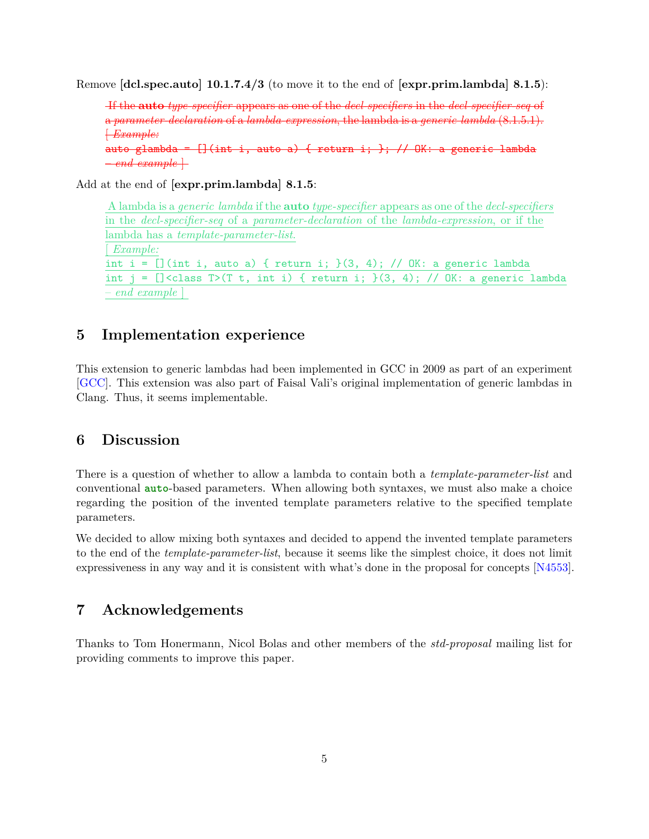Remove **[dcl.spec.auto] 10.1.7.4/3** (to move it to the end of **[expr.prim.lambda] 8.1.5**):

If the **auto** *type-specifier* appears as one of the *decl-specifiers* in the *decl-specifier-seq* of a *parameter-declaration* of a *lambda-expression*, the lambda is a *generic lambda* (8.1.5.1). [ *Example:* auto glambda =  $[]$ (int i, auto a) { return i; }; // OK: a generic lambda

 $-$ *end example*  $\vdash$ 

Add at the end of **[expr.prim.lambda] 8.1.5**:

```
A lambda is a generic lambda if the auto type-specifier appears as one of the decl-specifiers
in the decl-specifier-seq of a parameter-declaration of the lambda-expression, or if the
lambda has a template-parameter-list.
[ Example:
int i = [] (int i, auto a) { return i; }(3, 4); // OK: a generic lambda
int j = [] <class T>(T t, int i) { return i; }(3, 4); // OK: a generic lambda
– end example ]
```
### **5 Implementation experience**

This extension to generic lambdas had been implemented in GCC in 2009 as part of an experiment [\[GCC\]](#page-5-4). This extension was also part of Faisal Vali's original implementation of generic lambdas in Clang. Thus, it seems implementable.

#### **6 Discussion**

There is a question of whether to allow a lambda to contain both a *template-parameter-list* and conventional **auto**-based parameters. When allowing both syntaxes, we must also make a choice regarding the position of the invented template parameters relative to the specified template parameters.

We decided to allow mixing both syntaxes and decided to append the invented template parameters to the end of the *template-parameter-list*, because it seems like the simplest choice, it does not limit expressiveness in any way and it is consistent with what's done in the proposal for concepts [\[N4553\]](#page-5-5).

## **7 Acknowledgements**

Thanks to Tom Honermann, Nicol Bolas and other members of the *std-proposal* mailing list for providing comments to improve this paper.